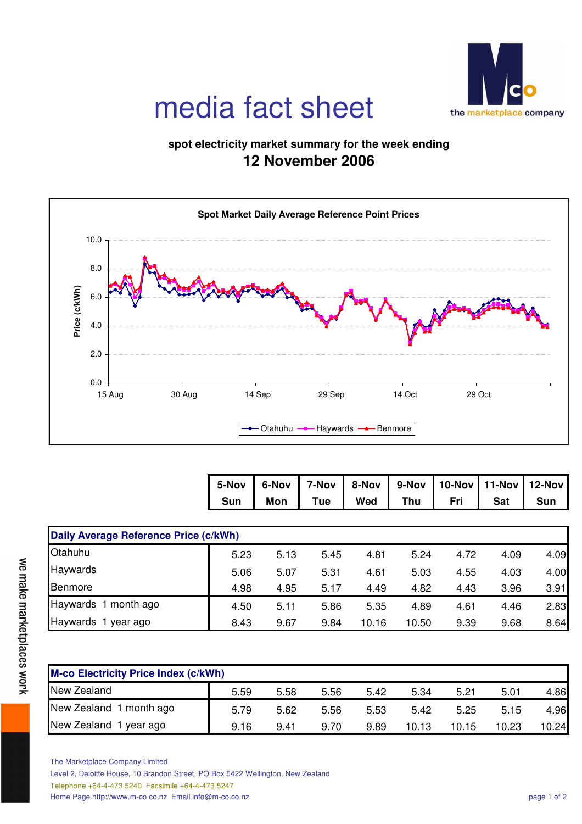

## media fact sheet

## **spot electricity market summary for the week ending 12 November 2006**



|                                       | 5-Nov      | 6-Nov      | 7-Nov | 8-Nov | 9-Nov | 10-Nov | 11-Nov     | 12-Nov     |
|---------------------------------------|------------|------------|-------|-------|-------|--------|------------|------------|
|                                       | <b>Sun</b> | <b>Mon</b> | Tue   | Wed   | Thu   | Fri    | <b>Sat</b> | <b>Sun</b> |
|                                       |            |            |       |       |       |        |            |            |
| Daily Average Reference Price (c/kWh) |            |            |       |       |       |        |            |            |
| Otahuhu                               | 5.23       | 5.13       | 5.45  | 4.81  | 5.24  | 4.72   | 4.09       | 4.09       |
| Haywards                              | 5.06       | 5.07       | 5.31  | 4.61  | 5.03  | 4.55   | 4.03       | 4.00       |
| <b>Benmore</b>                        | 4.98       | 4.95       | 5.17  | 4.49  | 4.82  | 4.43   | 3.96       | 3.91       |
| Haywards 1 month ago                  | 4.50       | 5.11       | 5.86  | 5.35  | 4.89  | 4.61   | 4.46       | 2.83       |
| Haywards 1<br>year ago                | 8.43       | 9.67       | 9.84  | 10.16 | 10.50 | 9.39   | 9.68       | 8.64       |

| <b>M-co Electricity Price Index (c/kWh)</b> |      |      |      |      |       |       |       |       |
|---------------------------------------------|------|------|------|------|-------|-------|-------|-------|
| New Zealand                                 | 5.59 | 5.58 | 5.56 | 5.42 | 5.34  | 5.21  | 5.01  | 4.86  |
| New Zealand 1 month ago                     | 5.79 | 5.62 | 5.56 | 5.53 | 5.42  | 5.25  | 5.15  | 4.96  |
| New Zealand 1 year ago                      | 9.16 | 9.41 | 9.70 | 9.89 | 10.13 | 10.15 | 10.23 | 10.24 |

The Marketplace Company Limited Level 2, Deloitte House, 10 Brandon Street, PO Box 5422 Wellington, New Zealand Telephone +64-4-473 5240 Facsimile +64-4-473 5247 Home Page http://www.m-co.co.nz Email info@m-co.co.nz page 1 of 2